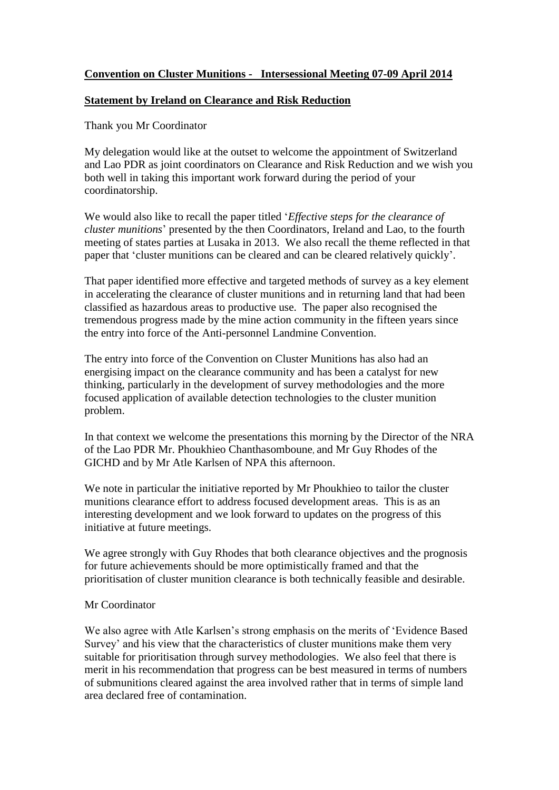## **Convention on Cluster Munitions - Intersessional Meeting 07-09 April 2014**

## **Statement by Ireland on Clearance and Risk Reduction**

Thank you Mr Coordinator

My delegation would like at the outset to welcome the appointment of Switzerland and Lao PDR as joint coordinators on Clearance and Risk Reduction and we wish you both well in taking this important work forward during the period of your coordinatorship.

We would also like to recall the paper titled '*Effective steps for the clearance of cluster munitions*' presented by the then Coordinators, Ireland and Lao, to the fourth meeting of states parties at Lusaka in 2013. We also recall the theme reflected in that paper that 'cluster munitions can be cleared and can be cleared relatively quickly'.

That paper identified more effective and targeted methods of survey as a key element in accelerating the clearance of cluster munitions and in returning land that had been classified as hazardous areas to productive use. The paper also recognised the tremendous progress made by the mine action community in the fifteen years since the entry into force of the Anti-personnel Landmine Convention.

The entry into force of the Convention on Cluster Munitions has also had an energising impact on the clearance community and has been a catalyst for new thinking, particularly in the development of survey methodologies and the more focused application of available detection technologies to the cluster munition problem.

In that context we welcome the presentations this morning by the Director of the NRA of the Lao PDR Mr. Phoukhieo Chanthasomboune, and Mr Guy Rhodes of the GICHD and by Mr Atle Karlsen of NPA this afternoon.

We note in particular the initiative reported by Mr Phoukhieo to tailor the cluster munitions clearance effort to address focused development areas. This is as an interesting development and we look forward to updates on the progress of this initiative at future meetings.

We agree strongly with Guy Rhodes that both clearance objectives and the prognosis for future achievements should be more optimistically framed and that the prioritisation of cluster munition clearance is both technically feasible and desirable.

## Mr Coordinator

We also agree with Atle Karlsen's strong emphasis on the merits of 'Evidence Based Survey' and his view that the characteristics of cluster munitions make them very suitable for prioritisation through survey methodologies. We also feel that there is merit in his recommendation that progress can be best measured in terms of numbers of submunitions cleared against the area involved rather that in terms of simple land area declared free of contamination.